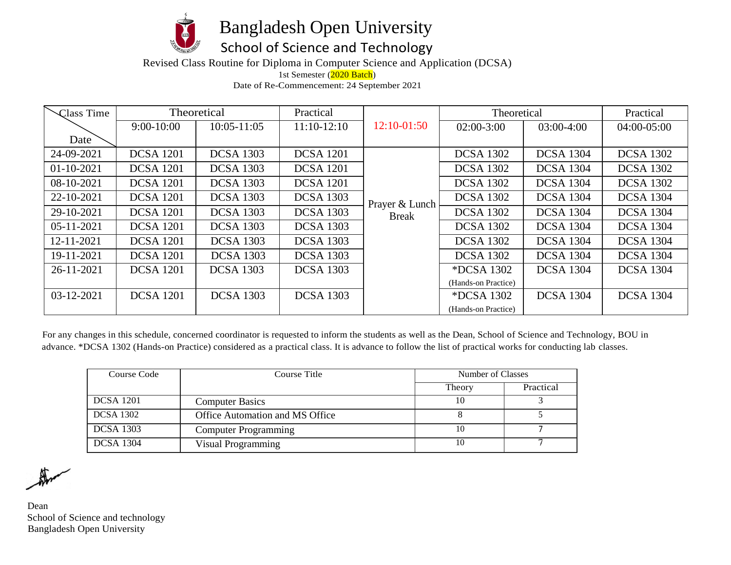

Bangladesh Open University

## School of Science and Technology

Revised Class Routine for Diploma in Computer Science and Application (DCSA)

1st Semester (2020 Batch)

Date of Re-Commencement: 24 September 2021

| Class Time       |                  | Theoretical      | Practical        |                | Theoretical         |                  | Practical        |
|------------------|------------------|------------------|------------------|----------------|---------------------|------------------|------------------|
|                  | $9:00-10:00$     | $10:05 - 11:05$  | $11:10-12:10$    | 12:10-01:50    | $02:00-3:00$        | 03:00-4:00       | 04:00-05:00      |
| Date             |                  |                  |                  |                |                     |                  |                  |
| 24-09-2021       | <b>DCSA</b> 1201 | <b>DCSA 1303</b> | <b>DCSA</b> 1201 |                | <b>DCSA 1302</b>    | <b>DCSA 1304</b> | <b>DCSA 1302</b> |
| $01-10-2021$     | <b>DCSA</b> 1201 | <b>DCSA</b> 1303 | <b>DCSA</b> 1201 |                | <b>DCSA 1302</b>    | <b>DCSA 1304</b> | <b>DCSA 1302</b> |
| 08-10-2021       | <b>DCSA</b> 1201 | <b>DCSA 1303</b> | <b>DCSA</b> 1201 |                | <b>DCSA 1302</b>    | <b>DCSA 1304</b> | <b>DCSA 1302</b> |
| 22-10-2021       | <b>DCSA</b> 1201 | <b>DCSA 1303</b> | <b>DCSA 1303</b> | Prayer & Lunch | <b>DCSA 1302</b>    | <b>DCSA 1304</b> | <b>DCSA 1304</b> |
| 29-10-2021       | <b>DCSA</b> 1201 | <b>DCSA 1303</b> | <b>DCSA 1303</b> | <b>Break</b>   | <b>DCSA 1302</b>    | <b>DCSA 1304</b> | <b>DCSA 1304</b> |
| $05 - 11 - 2021$ | <b>DCSA</b> 1201 | <b>DCSA 1303</b> | <b>DCSA 1303</b> |                | <b>DCSA 1302</b>    | <b>DCSA 1304</b> | <b>DCSA 1304</b> |
| 12-11-2021       | <b>DCSA</b> 1201 | <b>DCSA 1303</b> | <b>DCSA 1303</b> |                | <b>DCSA 1302</b>    | <b>DCSA 1304</b> | <b>DCSA 1304</b> |
| 19-11-2021       | <b>DCSA</b> 1201 | <b>DCSA 1303</b> | <b>DCSA 1303</b> |                | <b>DCSA 1302</b>    | <b>DCSA 1304</b> | <b>DCSA 1304</b> |
| 26-11-2021       | <b>DCSA</b> 1201 | <b>DCSA 1303</b> | <b>DCSA 1303</b> |                | <i>*DCSA 1302</i>   | <b>DCSA 1304</b> | <b>DCSA 1304</b> |
|                  |                  |                  |                  |                | (Hands-on Practice) |                  |                  |
| $03 - 12 - 2021$ | <b>DCSA</b> 1201 | <b>DCSA 1303</b> | <b>DCSA 1303</b> |                | <i>*DCSA 1302</i>   | <b>DCSA 1304</b> | <b>DCSA 1304</b> |
|                  |                  |                  |                  |                | (Hands-on Practice) |                  |                  |

For any changes in this schedule, concerned coordinator is requested to inform the students as well as the Dean, School of Science and Technology, BOU in advance. \*DCSA 1302 (Hands-on Practice) considered as a practical class. It is advance to follow the list of practical works for conducting lab classes.

| Course Code      | Course Title                    | Number of Classes |           |
|------------------|---------------------------------|-------------------|-----------|
|                  |                                 | Theory            | Practical |
| <b>DCSA</b> 1201 | <b>Computer Basics</b>          |                   |           |
| <b>DCSA</b> 1302 | Office Automation and MS Office |                   |           |
| <b>DCSA 1303</b> | <b>Computer Programming</b>     |                   |           |
| <b>DCSA 1304</b> | Visual Programming              | 10                |           |

 $\mathbb{R}$ 

Dean School of Science and technology Bangladesh Open University